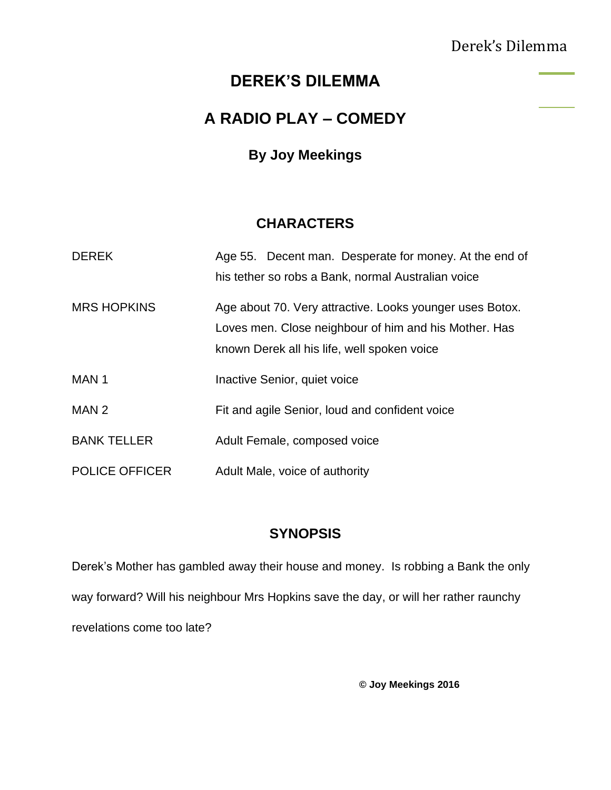## Derek's Dilemma

## **DEREK'S DILEMMA**

## **A RADIO PLAY – COMEDY**

### **By Joy Meekings**

### **CHARACTERS**

| <b>DEREK</b>          | Age 55. Decent man. Desperate for money. At the end of                                                                                                           |
|-----------------------|------------------------------------------------------------------------------------------------------------------------------------------------------------------|
|                       | his tether so robs a Bank, normal Australian voice                                                                                                               |
| <b>MRS HOPKINS</b>    | Age about 70. Very attractive. Looks younger uses Botox.<br>Loves men. Close neighbour of him and his Mother. Has<br>known Derek all his life, well spoken voice |
| MAN <sub>1</sub>      | Inactive Senior, quiet voice                                                                                                                                     |
| MAN 2                 | Fit and agile Senior, loud and confident voice                                                                                                                   |
| <b>BANK TELLER</b>    | Adult Female, composed voice                                                                                                                                     |
| <b>POLICE OFFICER</b> | Adult Male, voice of authority                                                                                                                                   |

### **SYNOPSIS**

Derek's Mother has gambled away their house and money. Is robbing a Bank the only way forward? Will his neighbour Mrs Hopkins save the day, or will her rather raunchy revelations come too late?

**© Joy Meekings 2016**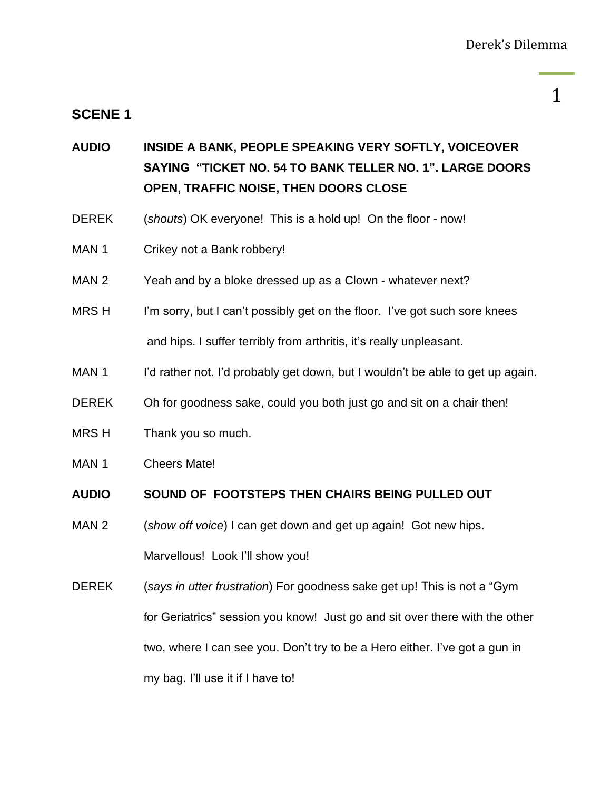#### **SCENE 1**

1

# **AUDIO INSIDE A BANK, PEOPLE SPEAKING VERY SOFTLY, VOICEOVER SAYING "TICKET NO. 54 TO BANK TELLER NO. 1". LARGE DOORS OPEN, TRAFFIC NOISE, THEN DOORS CLOSE**

- DEREK (*shouts*) OK everyone! This is a hold up! On the floor now!
- MAN 1 Crikey not a Bank robbery!
- MAN 2 Yeah and by a bloke dressed up as a Clown whatever next?
- MRS H I'm sorry, but I can't possibly get on the floor. I've got such sore knees and hips. I suffer terribly from arthritis, it's really unpleasant.
- MAN 1 I'd rather not. I'd probably get down, but I wouldn't be able to get up again.
- DEREK Oh for goodness sake, could you both just go and sit on a chair then!
- MRS H Thank you so much.
- MAN 1 Cheers Mate!

#### **AUDIO SOUND OF FOOTSTEPS THEN CHAIRS BEING PULLED OUT**

- MAN 2 (*show off voice*) I can get down and get up again! Got new hips. Marvellous! Look I'll show you!
- DEREK (*says in utter frustration*) For goodness sake get up! This is not a "Gym for Geriatrics" session you know! Just go and sit over there with the other two, where I can see you. Don't try to be a Hero either. I've got a gun in my bag. I'll use it if I have to!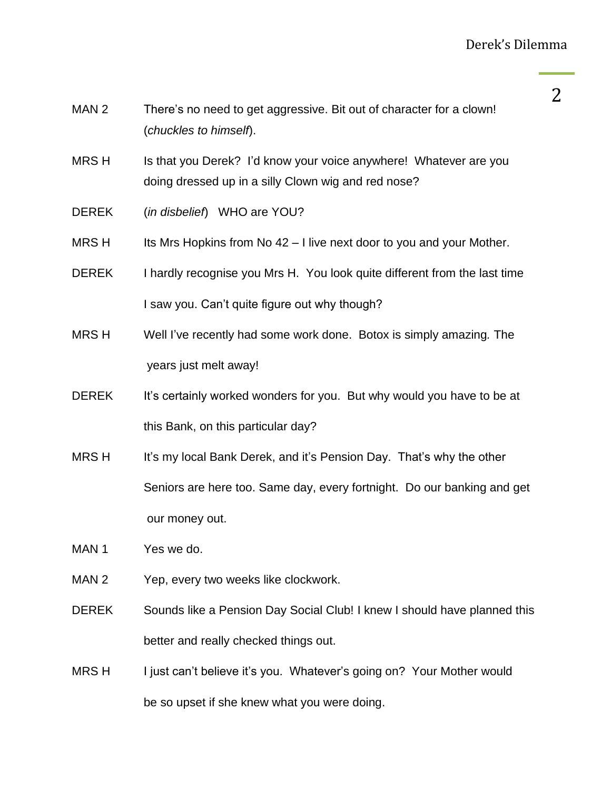- MAN 2 There's no need to get aggressive. Bit out of character for a clown! (*chuckles to himself*).
- MRS H Is that you Derek? I'd know your voice anywhere! Whatever are you doing dressed up in a silly Clown wig and red nose?
- DEREK (*in disbelief*)WHO are YOU?
- MRS H Its Mrs Hopkins from No  $42 1$  live next door to you and your Mother.
- DEREK I hardly recognise you Mrs H. You look quite different from the last time I saw you. Can't quite figure out why though?
- MRS H Well I've recently had some work done. Botox is simply amazing*.* The years just melt away!
- DEREK It's certainly worked wonders for you. But why would you have to be at this Bank, on this particular day?
- MRS H It's my local Bank Derek, and it's Pension Day. That's why the other Seniors are here too. Same day, every fortnight. Do our banking and get our money out.
- MAN 1 Yes we do.
- MAN 2 Yep, every two weeks like clockwork.
- DEREK Sounds like a Pension Day Social Club! I knew I should have planned this better and really checked things out.
- MRS H I just can't believe it's you. Whatever's going on? Your Mother would be so upset if she knew what you were doing.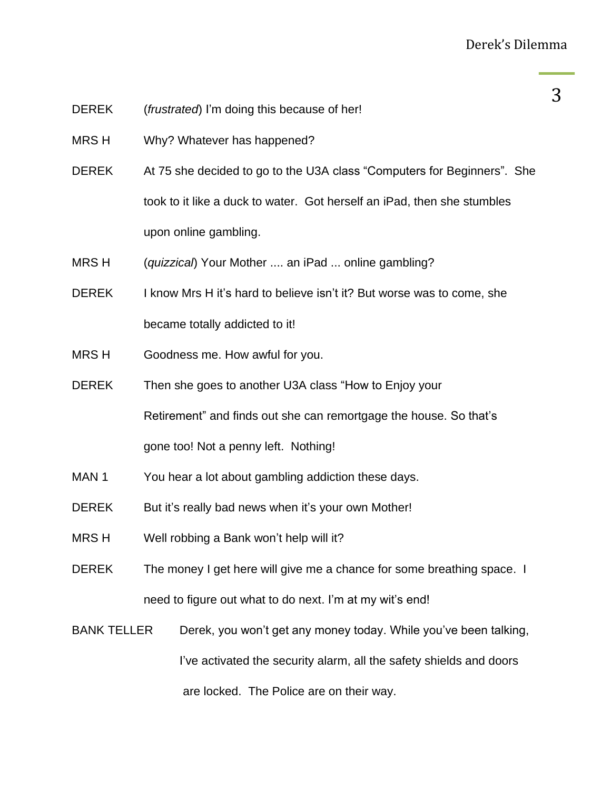- DEREK (*frustrated*) I'm doing this because of her!
- MRS H Why? Whatever has happened?
- DEREK At 75 she decided to go to the U3A class "Computers for Beginners". She took to it like a duck to water. Got herself an iPad, then she stumbles upon online gambling.
- MRS H (*quizzical*) Your Mother .... an iPad ... online gambling?
- DEREK I know Mrs H it's hard to believe isn't it? But worse was to come, she became totally addicted to it!
- MRS H Goodness me. How awful for you.
- DEREK Then she goes to another U3A class "How to Enjoy your Retirement" and finds out she can remortgage the house. So that's gone too! Not a penny left. Nothing!
- MAN 1 You hear a lot about gambling addiction these days.
- DEREK But it's really bad news when it's your own Mother!
- MRS H Well robbing a Bank won't help will it?
- DEREK The money I get here will give me a chance for some breathing space. I need to figure out what to do next. I'm at my wit's end!
- BANK TELLER Derek, you won't get any money today. While you've been talking, I've activated the security alarm, all the safety shields and doors are locked. The Police are on their way.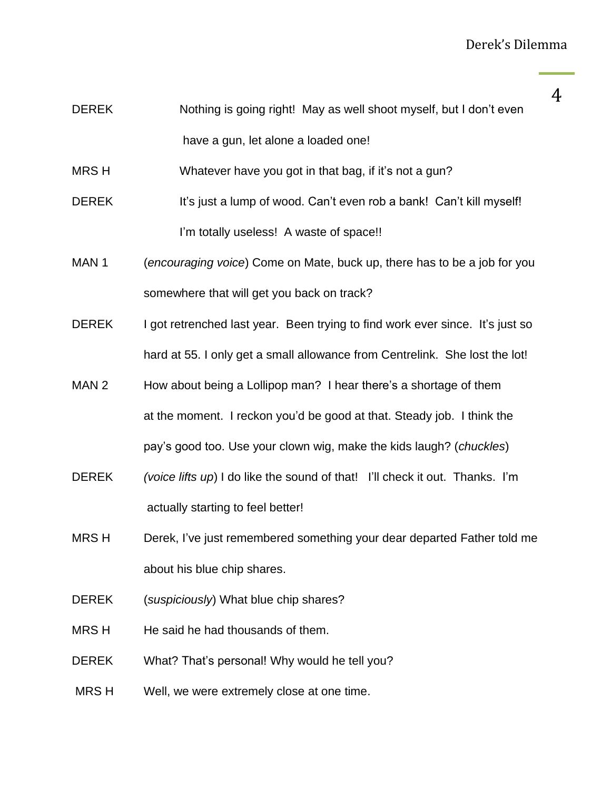- DEREK Nothing is going right! May as well shoot myself, but I don't even have a gun, let alone a loaded one!
- MRS H Whatever have you got in that bag, if it's not a gun?
- DEREK It's just a lump of wood. Can't even rob a bank! Can't kill myself! I'm totally useless! A waste of space!!
- MAN 1 (*encouraging voice*) Come on Mate, buck up, there has to be a job for you somewhere that will get you back on track?
- DEREK I got retrenched last year. Been trying to find work ever since. It's just so hard at 55. I only get a small allowance from Centrelink. She lost the lot!
- MAN 2 How about being a Lollipop man? I hear there's a shortage of them at the moment. I reckon you'd be good at that. Steady job. I think the pay's good too. Use your clown wig, make the kids laugh? (*chuckles*)
- DEREK *(voice lifts up*) I do like the sound of that! I'll check it out. Thanks. I'm actually starting to feel better!
- MRS H Derek, I've just remembered something your dear departed Father told me about his blue chip shares.
- DEREK (*suspiciously*) What blue chip shares?
- MRS H He said he had thousands of them.
- DEREK What? That's personal! Why would he tell you?
- MRS H Well, we were extremely close at one time.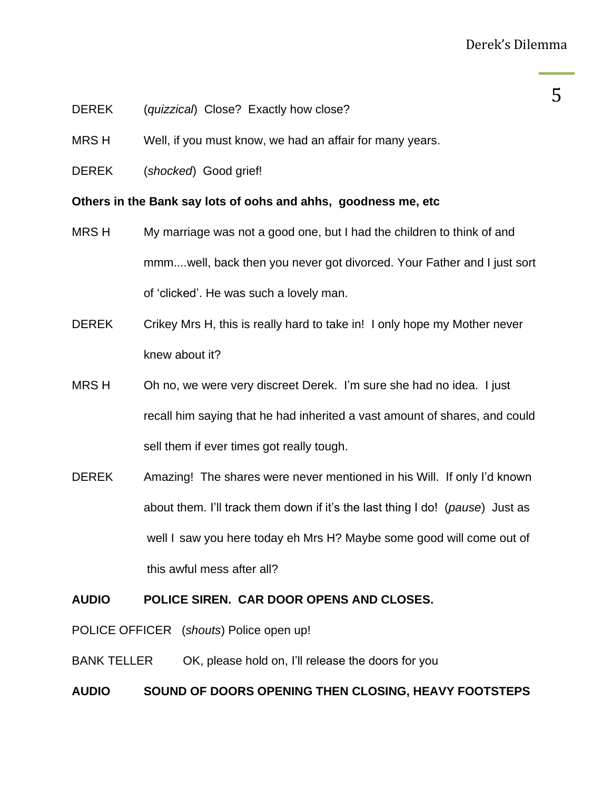- DEREK (*quizzical*) Close? Exactly how close?
- MRS H Well, if you must know, we had an affair for many years.
- DEREK (*shocked*) Good grief!

**Others in the Bank say lots of oohs and ahhs, goodness me, etc**

- MRS H My marriage was not a good one, but I had the children to think of and mmm....well, back then you never got divorced. Your Father and I just sort of 'clicked'. He was such a lovely man.
- DEREK Crikey Mrs H, this is really hard to take in! I only hope my Mother never knew about it?
- MRS H Oh no, we were very discreet Derek. I'm sure she had no idea. I just recall him saying that he had inherited a vast amount of shares, and could sell them if ever times got really tough.
- DEREK Amazing! The shares were never mentioned in his Will. If only I'd known about them. I'll track them down if it's the last thing I do! (*pause*) Just as well I saw you here today eh Mrs H? Maybe some good will come out of this awful mess after all?

#### **AUDIO POLICE SIREN. CAR DOOR OPENS AND CLOSES.**

- POLICE OFFICER (*shouts*) Police open up!
- BANK TELLER OK, please hold on, I'll release the doors for you

#### **AUDIO SOUND OF DOORS OPENING THEN CLOSING, HEAVY FOOTSTEPS**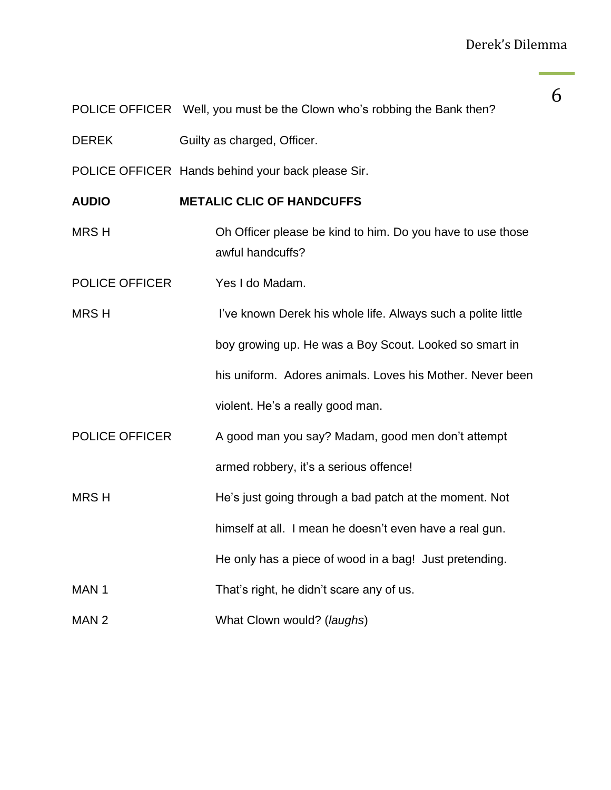POLICE OFFICER Well, you must be the Clown who's robbing the Bank then?

DEREK Guilty as charged, Officer.

POLICE OFFICER Hands behind your back please Sir.

**AUDIO METALIC CLIC OF HANDCUFFS**

MRS H Oh Officer please be kind to him. Do you have to use those awful handcuffs?

POLICE OFFICER Yes I do Madam.

MRS H I've known Derek his whole life. Always such a polite little boy growing up. He was a Boy Scout. Looked so smart in his uniform. Adores animals. Loves his Mother. Never been violent. He's a really good man.

POLICE OFFICER A good man you say? Madam, good men don't attempt armed robbery, it's a serious offence!

MRS H He's just going through a bad patch at the moment. Not

himself at all. I mean he doesn't even have a real gun.

He only has a piece of wood in a bag! Just pretending.

MAN 1 That's right, he didn't scare any of us.

MAN 2 What Clown would? (*laughs*)